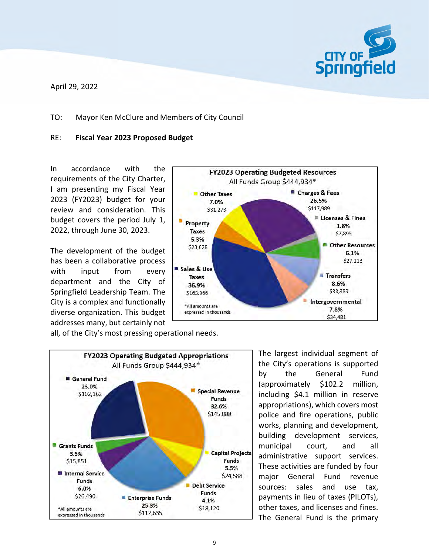

April 29, 2022

#### TO: Mayor Ken McClure and Members of City Council

#### RE: **Fiscal Year 2023 Proposed Budget**

In accordance with the requirements of the City Charter, I am presenting my Fiscal Year 2023 (FY2023) budget for your review and consideration. This budget covers the period July 1, 2022, through June 30, 2023.

The development of the budget has been a collaborative process with input from every department and the City of Springfield Leadership Team. The City is a complex and functionally diverse organization. This budget addresses many, but certainly not



all, of the City's most pressing operational needs.



The largest individual segment of the City's operations is supported by the General Fund (approximately \$102.2 million, including \$4.1 million in reserve appropriations), which covers most police and fire operations, public works, planning and development, building development services, municipal court, and all administrative support services. These activities are funded by four major General Fund revenue sources: sales and use tax, payments in lieu of taxes (PILOTs), other taxes, and licenses and fines. The General Fund is the primary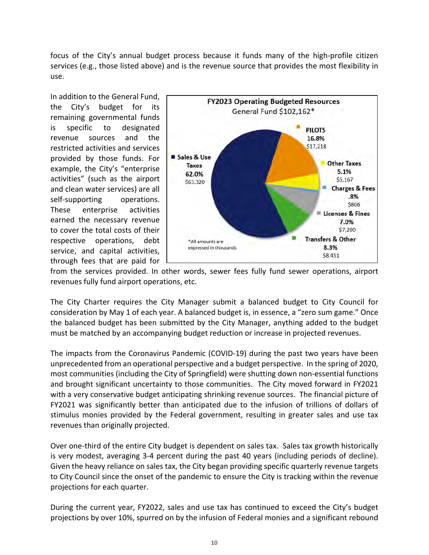focus of the City's annual budget process because it funds many of the high-profile citizen services (e.g., those listed above) and is the revenue source that provides the most flexibility in use.

In addition to the General Fund, the City's budget for its remaining governmental funds is specific to designated revenue sources and the restricted activities and services provided by those funds. For example, the City's "enterprise activities" (such as the airport and clean water services) are all self-supporting operations. These enterprise activities earned the necessary revenue to cover the total costs of their respective operations, debt service, and capital activities, through fees that are paid for



from the services provided. In other words, sewer fees fully fund sewer operations, airport revenues fully fund airport operations, etc.

The City Charter requires the City Manager submit a balanced budget to City Council for consideration by May 1 of each year. A balanced budget is, in essence, a "zero sum game." Once the balanced budget has been submitted by the City Manager, anything added to the budget must be matched by an accompanying budget reduction or increase in projected revenues.

The impacts from the Coronavirus Pandemic (COVID‐19) during the past two years have been unprecedented from an operational perspective and a budget perspective. In the spring of 2020, most communities (including the City of Springfield) were shutting down non‐essential functions and brought significant uncertainty to those communities. The City moved forward in FY2021 with a very conservative budget anticipating shrinking revenue sources. The financial picture of FY2021 was significantly better than anticipated due to the infusion of trillions of dollars of stimulus monies provided by the Federal government, resulting in greater sales and use tax revenues than originally projected.

Over one‐third of the entire City budget is dependent on sales tax. Sales tax growth historically is very modest, averaging 3‐4 percent during the past 40 years (including periods of decline). Given the heavy reliance on sales tax, the City began providing specific quarterly revenue targets to City Council since the onset of the pandemic to ensure the City is tracking within the revenue projections for each quarter.

During the current year, FY2022, sales and use tax has continued to exceed the City's budget projections by over 10%, spurred on by the infusion of Federal monies and a significant rebound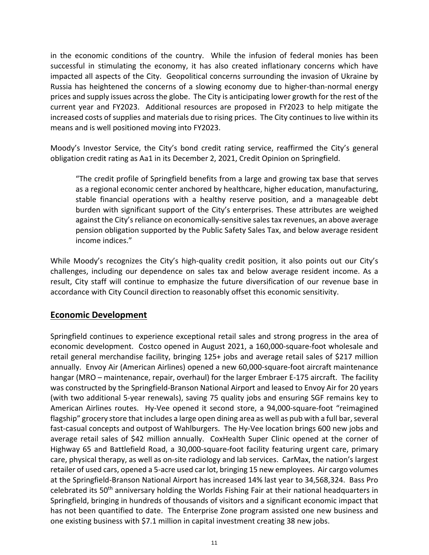in the economic conditions of the country. While the infusion of federal monies has been successful in stimulating the economy, it has also created inflationary concerns which have impacted all aspects of the City. Geopolitical concerns surrounding the invasion of Ukraine by Russia has heightened the concerns of a slowing economy due to higher-than-normal energy prices and supply issues across the globe. The City is anticipating lower growth for the rest of the current year and FY2023. Additional resources are proposed in FY2023 to help mitigate the increased costs of supplies and materials due to rising prices. The City continues to live within its means and is well positioned moving into FY2023.

Moody's Investor Service, the City's bond credit rating service, reaffirmed the City's general obligation credit rating as Aa1 in its December 2, 2021, Credit Opinion on Springfield.

"The credit profile of Springfield benefits from a large and growing tax base that serves as a regional economic center anchored by healthcare, higher education, manufacturing, stable financial operations with a healthy reserve position, and a manageable debt burden with significant support of the City's enterprises. These attributes are weighed against the City's reliance on economically-sensitive sales tax revenues, an above average pension obligation supported by the Public Safety Sales Tax, and below average resident income indices."

While Moody's recognizes the City's high-quality credit position, it also points out our City's challenges, including our dependence on sales tax and below average resident income. As a result, City staff will continue to emphasize the future diversification of our revenue base in accordance with City Council direction to reasonably offset this economic sensitivity.

# **Economic Development**

Springfield continues to experience exceptional retail sales and strong progress in the area of economic development. Costco opened in August 2021, a 160,000‐square‐foot wholesale and retail general merchandise facility, bringing 125+ jobs and average retail sales of \$217 million annually. Envoy Air (American Airlines) opened a new 60,000‐square‐foot aircraft maintenance hangar (MRO – maintenance, repair, overhaul) for the larger Embraer E-175 aircraft. The facility was constructed by the Springfield‐Branson National Airport and leased to Envoy Air for 20 years (with two additional 5‐year renewals), saving 75 quality jobs and ensuring SGF remains key to American Airlines routes. Hy‐Vee opened it second store, a 94,000‐square‐foot "reimagined flagship" grocery store that includes a large open dining area as well as pub with a full bar, several fast-casual concepts and outpost of Wahlburgers. The Hy-Vee location brings 600 new jobs and average retail sales of \$42 million annually. CoxHealth Super Clinic opened at the corner of Highway 65 and Battlefield Road, a 30,000‐square‐foot facility featuring urgent care, primary care, physical therapy, as well as on‐site radiology and lab services. CarMax, the nation's largest retailer of used cars, opened a 5‐acre used car lot, bringing 15 new employees. Air cargo volumes at the Springfield‐Branson National Airport has increased 14% last year to 34,568,324. Bass Pro celebrated its 50th anniversary holding the Worlds Fishing Fair at their national headquarters in Springfield, bringing in hundreds of thousands of visitors and a significant economic impact that has not been quantified to date. The Enterprise Zone program assisted one new business and one existing business with \$7.1 million in capital investment creating 38 new jobs.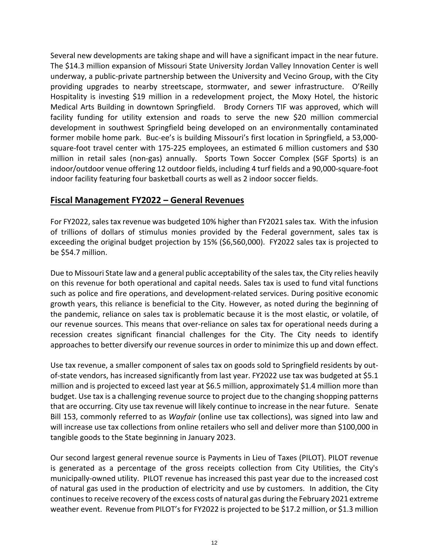Several new developments are taking shape and will have a significant impact in the near future. The \$14.3 million expansion of Missouri State University Jordan Valley Innovation Center is well underway, a public-private partnership between the University and Vecino Group, with the City providing upgrades to nearby streetscape, stormwater, and sewer infrastructure. O'Reilly Hospitality is investing \$19 million in a redevelopment project, the Moxy Hotel, the historic Medical Arts Building in downtown Springfield. Brody Corners TIF was approved, which will facility funding for utility extension and roads to serve the new \$20 million commercial development in southwest Springfield being developed on an environmentally contaminated former mobile home park. Buc-ee's is building Missouri's first location in Springfield, a 53,000square‐foot travel center with 175‐225 employees, an estimated 6 million customers and \$30 million in retail sales (non-gas) annually. Sports Town Soccer Complex (SGF Sports) is an indoor/outdoor venue offering 12 outdoor fields, including 4 turf fields and a 90,000‐square‐foot indoor facility featuring four basketball courts as well as 2 indoor soccer fields.

## **Fiscal Management FY2022 – General Revenues**

For FY2022, salestax revenue was budgeted 10% higher than FY2021 salestax. With the infusion of trillions of dollars of stimulus monies provided by the Federal government, sales tax is exceeding the original budget projection by 15% (\$6,560,000). FY2022 sales tax is projected to be \$54.7 million.

Due to Missouri State law and a general public acceptability of the sales tax, the City relies heavily on this revenue for both operational and capital needs. Sales tax is used to fund vital functions such as police and fire operations, and development‐related services. During positive economic growth years, this reliance is beneficial to the City. However, as noted during the beginning of the pandemic, reliance on sales tax is problematic because it is the most elastic, or volatile, of our revenue sources. This means that over‐reliance on sales tax for operational needs during a recession creates significant financial challenges for the City. The City needs to identify approaches to better diversify our revenue sources in order to minimize this up and down effect.

Use tax revenue, a smaller component of sales tax on goods sold to Springfield residents by out‐ of‐state vendors, has increased significantly from last year. FY2022 use tax was budgeted at \$5.1 million and is projected to exceed last year at \$6.5 million, approximately \$1.4 million more than budget. Use tax is a challenging revenue source to project due to the changing shopping patterns that are occurring. City use tax revenue will likely continue to increase in the near future. Senate Bill 153, commonly referred to as *Wayfair* (online use tax collections), was signed into law and will increase use tax collections from online retailers who sell and deliver more than \$100,000 in tangible goods to the State beginning in January 2023.

Our second largest general revenue source is Payments in Lieu of Taxes (PILOT). PILOT revenue is generated as a percentage of the gross receipts collection from City Utilities, the City's municipally‐owned utility. PILOT revenue has increased this past year due to the increased cost of natural gas used in the production of electricity and use by customers. In addition, the City continues to receive recovery of the excess costs of natural gas during the February 2021 extreme weather event. Revenue from PILOT's for FY2022 is projected to be \$17.2 million, or \$1.3 million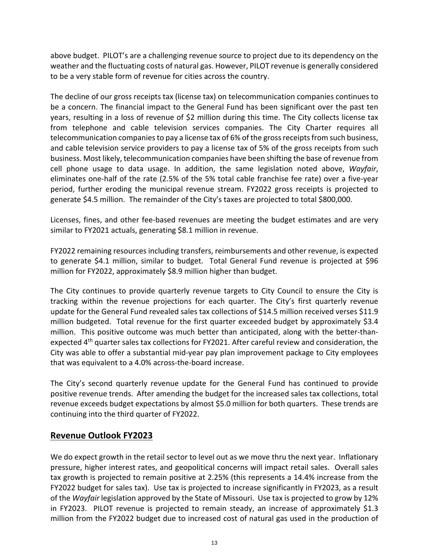above budget. PILOT's are a challenging revenue source to project due to its dependency on the weather and the fluctuating costs of natural gas. However, PILOT revenue is generally considered to be a very stable form of revenue for cities across the country.

The decline of our gross receipts tax (license tax) on telecommunication companies continues to be a concern. The financial impact to the General Fund has been significant over the past ten years, resulting in a loss of revenue of \$2 million during this time. The City collects license tax from telephone and cable television services companies. The City Charter requires all telecommunication companies to pay a license tax of 6% of the gross receipts from such business, and cable television service providers to pay a license tax of 5% of the gross receipts from such business. Most likely, telecommunication companies have been shifting the base ofrevenue from cell phone usage to data usage. In addition, the same legislation noted above, *Wayfair*, eliminates one‐half of the rate (2.5% of the 5% total cable franchise fee rate) over a five‐year period, further eroding the municipal revenue stream. FY2022 gross receipts is projected to generate \$4.5 million. The remainder of the City's taxes are projected to total \$800,000.

Licenses, fines, and other fee‐based revenues are meeting the budget estimates and are very similar to FY2021 actuals, generating \$8.1 million in revenue.

FY2022 remaining resources including transfers, reimbursements and other revenue, is expected to generate \$4.1 million, similar to budget. Total General Fund revenue is projected at \$96 million for FY2022, approximately \$8.9 million higher than budget.

The City continues to provide quarterly revenue targets to City Council to ensure the City is tracking within the revenue projections for each quarter. The City's first quarterly revenue update for the General Fund revealed sales tax collections of \$14.5 million received verses \$11.9 million budgeted. Total revenue for the first quarter exceeded budget by approximately \$3.4 million. This positive outcome was much better than anticipated, along with the better-thanexpected 4<sup>th</sup> quarter sales tax collections for FY2021. After careful review and consideration, the City was able to offer a substantial mid‐year pay plan improvement package to City employees that was equivalent to a 4.0% across‐the‐board increase.

The City's second quarterly revenue update for the General Fund has continued to provide positive revenue trends. After amending the budget for the increased sales tax collections, total revenue exceeds budget expectations by almost \$5.0 million for both quarters. These trends are continuing into the third quarter of FY2022.

# **Revenue Outlook FY2023**

We do expect growth in the retail sector to level out as we move thru the next year. Inflationary pressure, higher interest rates, and geopolitical concerns will impact retail sales. Overall sales tax growth is projected to remain positive at 2.25% (this represents a 14.4% increase from the FY2022 budget for sales tax). Use tax is projected to increase significantly in FY2023, as a result of the *Wayfair* legislation approved by the State of Missouri. Use tax is projected to grow by 12% in FY2023. PILOT revenue is projected to remain steady, an increase of approximately \$1.3 million from the FY2022 budget due to increased cost of natural gas used in the production of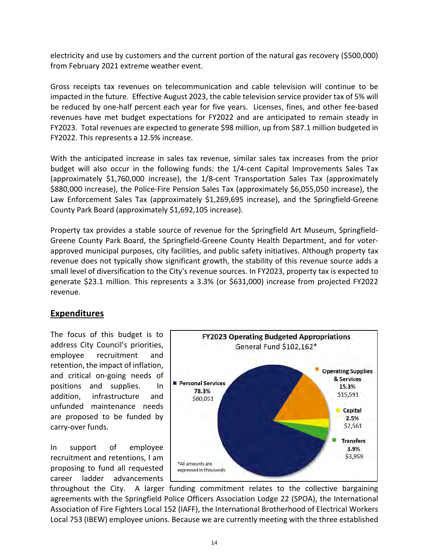electricity and use by customers and the current portion of the natural gas recovery (\$500,000) from February 2021 extreme weather event.

Gross receipts tax revenues on telecommunication and cable television will continue to be impacted in the future. Effective August 2023, the cable television service provider tax of 5% will be reduced by one-half percent each year for five years. Licenses, fines, and other fee-based revenues have met budget expectations for FY2022 and are anticipated to remain steady in FY2023. Total revenues are expected to generate \$98 million, up from \$87.1 million budgeted in FY2022. This represents a 12.5% increase.

With the anticipated increase in sales tax revenue, similar sales tax increases from the prior budget will also occur in the following funds: the 1/4‐cent Capital Improvements Sales Tax (approximately \$1,760,000 increase), the 1/8‐cent Transportation Sales Tax (approximately \$880,000 increase), the Police-Fire Pension Sales Tax (approximately \$6,055,050 increase), the Law Enforcement Sales Tax (approximately \$1,269,695 increase), and the Springfield‐Greene County Park Board (approximately \$1,692,105 increase).

Property tax provides a stable source of revenue for the Springfield Art Museum, Springfield‐ Greene County Park Board, the Springfield‐Greene County Health Department, and for voter‐ approved municipal purposes, city facilities, and public safety initiatives. Although property tax revenue does not typically show significant growth, the stability of this revenue source adds a small level of diversification to the City's revenue sources. In FY2023, property tax is expected to generate \$23.1 million. This represents a 3.3% (or \$631,000) increase from projected FY2022 revenue.

# **Expenditures**

The focus of this budget is to address City Council's priorities, employee recruitment and retention, the impact of inflation, and critical on‐going needs of positions and supplies. In addition, infrastructure and unfunded maintenance needs are proposed to be funded by carry‐over funds.

In support of employee recruitment and retentions, I am proposing to fund all requested career ladder advancements



throughout the City. A larger funding commitment relates to the collective bargaining agreements with the Springfield Police Officers Association Lodge 22 (SPOA), the International Association of Fire Fighters Local 152 (IAFF), the International Brotherhood of Electrical Workers Local 753 (IBEW) employee unions. Because we are currently meeting with the three established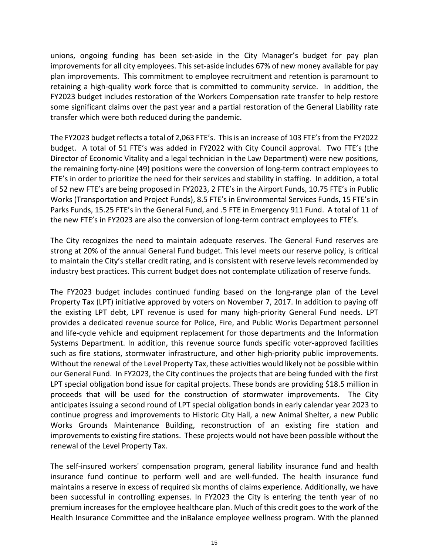unions, ongoing funding has been set‐aside in the City Manager's budget for pay plan improvements for all city employees. This set-aside includes 67% of new money available for pay plan improvements. This commitment to employee recruitment and retention is paramount to retaining a high‐quality work force that is committed to community service. In addition, the FY2023 budget includes restoration of the Workers Compensation rate transfer to help restore some significant claims over the past year and a partial restoration of the General Liability rate transfer which were both reduced during the pandemic.

The FY2023 budget reflects a total of 2,063 FTE's. Thisis an increase of 103 FTE'sfrom the FY2022 budget. A total of 51 FTE's was added in FY2022 with City Council approval. Two FTE's (the Director of Economic Vitality and a legal technician in the Law Department) were new positions, the remaining forty‐nine (49) positions were the conversion of long‐term contract employees to FTE's in order to prioritize the need for their services and stability in staffing. In addition, a total of 52 new FTE's are being proposed in FY2023, 2 FTE's in the Airport Funds, 10.75 FTE's in Public Works (Transportation and Project Funds), 8.5 FTE's in Environmental Services Funds, 15 FTE's in Parks Funds, 15.25 FTE's in the General Fund, and .5 FTE in Emergency 911 Fund. A total of 11 of the new FTE's in FY2023 are also the conversion of long‐term contract employees to FTE's.

The City recognizes the need to maintain adequate reserves. The General Fund reserves are strong at 20% of the annual General Fund budget. This level meets our reserve policy, is critical to maintain the City's stellar credit rating, and is consistent with reserve levels recommended by industry best practices. This current budget does not contemplate utilization of reserve funds.

The FY2023 budget includes continued funding based on the long‐range plan of the Level Property Tax (LPT) initiative approved by voters on November 7, 2017. In addition to paying off the existing LPT debt, LPT revenue is used for many high‐priority General Fund needs. LPT provides a dedicated revenue source for Police, Fire, and Public Works Department personnel and life‐cycle vehicle and equipment replacement for those departments and the Information Systems Department. In addition, this revenue source funds specific voter‐approved facilities such as fire stations, stormwater infrastructure, and other high-priority public improvements. Without the renewal of the Level Property Tax, these activities would likely not be possible within our General Fund. In FY2023, the City continues the projects that are being funded with the first LPT special obligation bond issue for capital projects. These bonds are providing \$18.5 million in proceeds that will be used for the construction of stormwater improvements. The City anticipates issuing a second round of LPT special obligation bonds in early calendar year 2023 to continue progress and improvements to Historic City Hall, a new Animal Shelter, a new Public Works Grounds Maintenance Building, reconstruction of an existing fire station and improvements to existing fire stations. These projects would not have been possible without the renewal of the Level Property Tax.

The self‐insured workers' compensation program, general liability insurance fund and health insurance fund continue to perform well and are well‐funded. The health insurance fund maintains a reserve in excess of required six months of claims experience. Additionally, we have been successful in controlling expenses. In FY2023 the City is entering the tenth year of no premium increases for the employee healthcare plan. Much of this credit goes to the work of the Health Insurance Committee and the inBalance employee wellness program. With the planned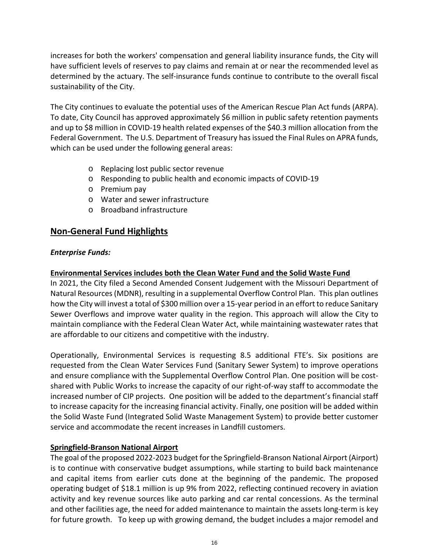increases for both the workers' compensation and general liability insurance funds, the City will have sufficient levels of reserves to pay claims and remain at or near the recommended level as determined by the actuary. The self‐insurance funds continue to contribute to the overall fiscal sustainability of the City.

The City continues to evaluate the potential uses of the American Rescue Plan Act funds (ARPA). To date, City Council has approved approximately \$6 million in public safety retention payments and up to \$8 million in COVID‐19 health related expenses of the \$40.3 million allocation from the Federal Government. The U.S. Department of Treasury hasissued the Final Rules on APRA funds, which can be used under the following general areas:

- o Replacing lost public sector revenue
- o Responding to public health and economic impacts of COVID‐19
- o Premium pay
- o Water and sewer infrastructure
- o Broadband infrastructure

# **Non‐General Fund Highlights**

### *Enterprise Funds:*

### **Environmental Services includes both the Clean Water Fund and the Solid Waste Fund**

In 2021, the City filed a Second Amended Consent Judgement with the Missouri Department of Natural Resources(MDNR), resulting in a supplemental Overflow Control Plan. This plan outlines how the City will invest a total of \$300 million over a 15-year period in an effort to reduce Sanitary Sewer Overflows and improve water quality in the region. This approach will allow the City to maintain compliance with the Federal Clean Water Act, while maintaining wastewater rates that are affordable to our citizens and competitive with the industry.

Operationally, Environmental Services is requesting 8.5 additional FTE's. Six positions are requested from the Clean Water Services Fund (Sanitary Sewer System) to improve operations and ensure compliance with the Supplemental Overflow Control Plan. One position will be costshared with Public Works to increase the capacity of our right‐of‐way staff to accommodate the increased number of CIP projects. One position will be added to the department's financial staff to increase capacity for the increasing financial activity. Finally, one position will be added within the Solid Waste Fund (Integrated Solid Waste Management System) to provide better customer service and accommodate the recent increases in Landfill customers.

### **Springfield‐Branson National Airport**

The goal of the proposed 2022‐2023 budget for the Springfield‐Branson National Airport (Airport) is to continue with conservative budget assumptions, while starting to build back maintenance and capital items from earlier cuts done at the beginning of the pandemic. The proposed operating budget of \$18.1 million is up 9% from 2022, reflecting continued recovery in aviation activity and key revenue sources like auto parking and car rental concessions. As the terminal and other facilities age, the need for added maintenance to maintain the assets long-term is key for future growth. To keep up with growing demand, the budget includes a major remodel and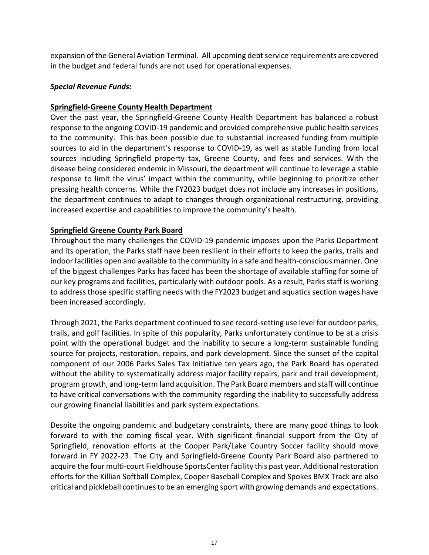expansion of the General Aviation Terminal. All upcoming debt service requirements are covered in the budget and federal funds are not used for operational expenses.

#### *Special Revenue Funds:*

### **Springfield‐Greene County Health Department**

Over the past year, the Springfield‐Greene County Health Department has balanced a robust response to the ongoing COVID‐19 pandemic and provided comprehensive public health services to the community. This has been possible due to substantial increased funding from multiple sources to aid in the department's response to COVID‐19, as well as stable funding from local sources including Springfield property tax, Greene County, and fees and services. With the disease being considered endemic in Missouri, the department will continue to leverage a stable response to limit the virus' impact within the community, while beginning to prioritize other pressing health concerns. While the FY2023 budget does not include any increases in positions, the department continues to adapt to changes through organizational restructuring, providing increased expertise and capabilities to improve the community's health.

#### **Springfield Greene County Park Board**

Throughout the many challenges the COVID‐19 pandemic imposes upon the Parks Department and its operation, the Parks staff have been resilient in their efforts to keep the parks, trails and indoor facilities open and available to the community in a safe and health‐conscious manner. One of the biggest challenges Parks has faced has been the shortage of available staffing for some of our key programs and facilities, particularly with outdoor pools. As a result, Parks staff is working to address those specific staffing needs with the FY2023 budget and aquatics section wages have been increased accordingly.

Through 2021, the Parks department continued to see record‐setting use level for outdoor parks, trails, and golf facilities. In spite of this popularity, Parks unfortunately continue to be at a crisis point with the operational budget and the inability to secure a long-term sustainable funding source for projects, restoration, repairs, and park development. Since the sunset of the capital component of our 2006 Parks Sales Tax Initiative ten years ago, the Park Board has operated without the ability to systematically address major facility repairs, park and trail development, program growth, and long‐term land acquisition. The Park Board members and staff will continue to have critical conversations with the community regarding the inability to successfully address our growing financial liabilities and park system expectations.

Despite the ongoing pandemic and budgetary constraints, there are many good things to look forward to with the coming fiscal year. With significant financial support from the City of Springfield, renovation efforts at the Cooper Park/Lake Country Soccer facility should move forward in FY 2022‐23. The City and Springfield‐Greene County Park Board also partnered to acquire the four multi-court Fieldhouse SportsCenter facility this past year. Additional restoration efforts for the Killian Softball Complex, Cooper Baseball Complex and Spokes BMX Track are also critical and pickleball continues to be an emerging sport with growing demands and expectations.